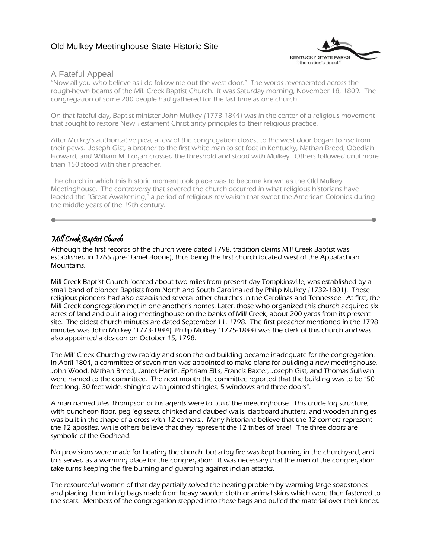# Old Mulkey Meetinghouse State Historic Site



## A Fateful Appeal

"Now all you who believe as I do follow me out the west door." The words reverberated across the rough-hewn beams of the Mill Creek Baptist Church. It was Saturday morning, November 18, 1809. The congregation of some 200 people had gathered for the last time as one church.

On that fateful day, Baptist minister John Mulkey (1773-1844) was in the center of a religious movement that sought to restore New Testament Christianity principles to their religious practice.

After Mulkey's authoritative plea, a few of the congregation closest to the west door began to rise from their pews. Joseph Gist, a brother to the first white man to set foot in Kentucky, Nathan Breed, Obediah Howard, and William M. Logan crossed the threshold and stood with Mulkey. Others followed until more than 150 stood with their preacher.

The church in which this historic moment took place was to become known as the Old Mulkey Meetinghouse. The controversy that severed the church occurred in what religious historians have labeled the "Great Awakening," a period of religious revivalism that swept the American Colonies during the middle years of the 19th century.

# Mill Creek Baptist Church

Although the first records of the church were dated 1798, tradition claims Mill Creek Baptist was established in 1765 (pre-Daniel Boone), thus being the first church located west of the Appalachian Mountains.

Mill Creek Baptist Church located about two miles from present-day Tompkinsville, was established by a small band of pioneer Baptists from North and South Carolina led by Philip Mulkey (1732-1801). These religious pioneers had also established several other churches in the Carolinas and Tennessee. At first, the Mill Creek congregation met in one another's homes. Later, those who organized this church acquired six acres of land and built a log meetinghouse on the banks of Mill Creek, about 200 yards from its present site. The oldest church minutes are dated September 11, 1798. The first preacher mentioned in the 1798 minutes was John Mulkey (1773-1844). Philip Mulkey (1775-1844) was the clerk of this church and was also appointed a deacon on October 15, 1798.

The Mill Creek Church grew rapidly and soon the old building became inadequate for the congregation. In April 1804, a committee of seven men was appointed to make plans for building a new meetinghouse. John Wood, Nathan Breed, James Harlin, Ephriam Ellis, Francis Baxter, Joseph Gist, and Thomas Sullivan were named to the committee. The next month the committee reported that the building was to be "50 feet long, 30 feet wide, shingled with jointed shingles, 5 windows and three doors".

A man named Jiles Thompson or his agents were to build the meetinghouse. This crude log structure, with puncheon floor, peg leg seats, chinked and daubed walls, clapboard shutters, and wooden shingles was built in the shape of a cross with 12 corners.. Many historians believe that the 12 corners represent the 12 apostles, while others believe that they represent the 12 tribes of Israel. The three doors are symbolic of the Godhead.

No provisions were made for heating the church, but a log fire was kept burning in the churchyard, and this served as a warming place for the congregation. It was necessary that the men of the congregation take turns keeping the fire burning and guarding against Indian attacks.

The resourceful women of that day partially solved the heating problem by warming large soapstones and placing them in big bags made from heavy woolen cloth or animal skins which were then fastened to the seats. Members of the congregation stepped into these bags and pulled the material over their knees.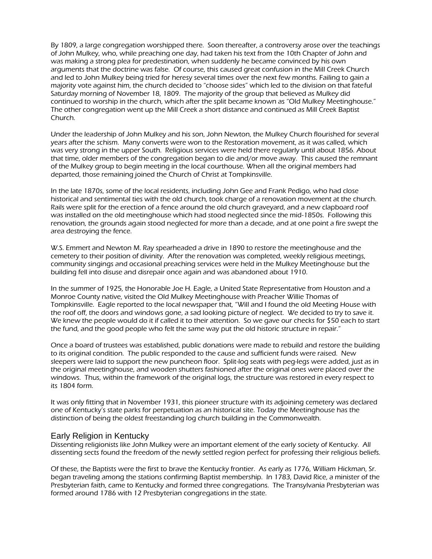By 1809, a large congregation worshipped there. Soon thereafter, a controversy arose over the teachings of John Mulkey, who, while preaching one day, had taken his text from the 10th Chapter of John and was making a strong plea for predestination, when suddenly he became convinced by his own arguments that the doctrine was false. Of course, this caused great confusion in the Mill Creek Church and led to John Mulkey being tried for heresy several times over the next few months. Failing to gain a majority vote against him, the church decided to "choose sides" which led to the division on that fateful Saturday morning of November 18, 1809. The majority of the group that believed as Mulkey did continued to worship in the church, which after the split became known as "Old Mulkey Meetinghouse." The other congregation went up the Mill Creek a short distance and continued as Mill Creek Baptist Church.

Under the leadership of John Mulkey and his son, John Newton, the Mulkey Church flourished for several years after the schism. Many converts were won to the Restoration movement, as it was called, which was very strong in the upper South. Religious services were held there regularly until about 1856. About that time, older members of the congregation began to die and/or move away. This caused the remnant of the Mulkey group to begin meeting in the local courthouse. When all the original members had departed, those remaining joined the Church of Christ at Tompkinsville.

In the late 1870s, some of the local residents, including John Gee and Frank Pedigo, who had close historical and sentimental ties with the old church, took charge of a renovation movement at the church. Rails were split for the erection of a fence around the old church graveyard, and a new clapboard roof was installed on the old meetinghouse which had stood neglected since the mid-1850s. Following this renovation, the grounds again stood neglected for more than a decade, and at one point a fire swept the area destroying the fence.

W.S. Emmert and Newton M. Ray spearheaded a drive in 1890 to restore the meetinghouse and the cemetery to their position of divinity. After the renovation was completed, weekly religious meetings, community singings and occasional preaching services were held in the Mulkey Meetinghouse but the building fell into disuse and disrepair once again and was abandoned about 1910.

In the summer of 1925, the Honorable Joe H. Eagle, a United State Representative from Houston and a Monroe County native, visited the Old Mulkey Meetinghouse with Preacher Willie Thomas of Tompkinsville. Eagle reported to the local newspaper that, "Will and I found the old Meeting House with the roof off, the doors and windows gone, a sad looking picture of neglect. We decided to try to save it. We knew the people would do it if called it to their attention. So we gave our checks for \$50 each to start the fund, and the good people who felt the same way put the old historic structure in repair."

Once a board of trustees was established, public donations were made to rebuild and restore the building to its original condition. The public responded to the cause and sufficient funds were raised. New sleepers were laid to support the new puncheon floor. Split-log seats with peg-legs were added, just as in the original meetinghouse, and wooden shutters fashioned after the original ones were placed over the windows. Thus, within the framework of the original logs, the structure was restored in every respect to its 1804 form.

It was only fitting that in November 1931, this pioneer structure with its adjoining cemetery was declared one of Kentucky's state parks for perpetuation as an historical site. Today the Meetinghouse has the distinction of being the oldest freestanding log church building in the Commonwealth.

#### Early Religion in Kentucky

Dissenting religionists like John Mulkey were an important element of the early society of Kentucky. All dissenting sects found the freedom of the newly settled region perfect for professing their religious beliefs.

Of these, the Baptists were the first to brave the Kentucky frontier. As early as 1776, William Hickman, Sr. began traveling among the stations confirming Baptist membership. In 1783, David Rice, a minister of the Presbyterian faith, came to Kentucky and formed three congregations. The Transylvania Presbyterian was formed around 1786 with 12 Presbyterian congregations in the state.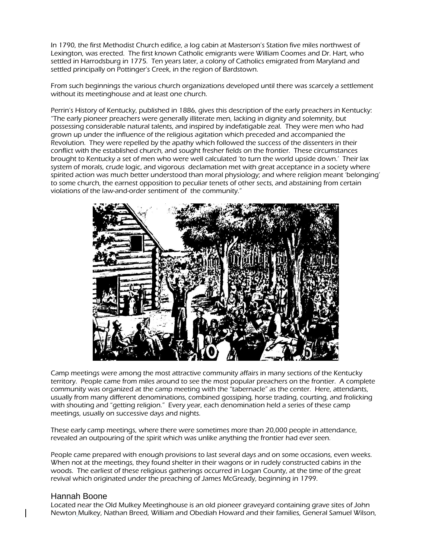In 1790, the first Methodist Church edifice, a log cabin at Masterson's Station five miles northwest of Lexington, was erected. The first known Catholic emigrants were William Coomes and Dr. Hart, who settled in Harrodsburg in 1775. Ten years later, a colony of Catholics emigrated from Maryland and settled principally on Pottinger's Creek, in the region of Bardstown.

From such beginnings the various church organizations developed until there was scarcely a settlement without its meetinghouse and at least one church.

Perrin's History of Kentucky, published in 1886, gives this description of the early preachers in Kentucky: "The early pioneer preachers were generally illiterate men, lacking in dignity and solemnity, but possessing considerable natural talents, and inspired by indefatigable zeal. They were men who had grown up under the influence of the religious agitation which preceded and accompanied the Revolution. They were repelled by the apathy which followed the success of the dissenters in their conflict with the established church, and sought fresher fields on the frontier. These circumstances brought to Kentucky a set of men who were well calculated 'to turn the world upside down.' Their lax system of morals, crude logic, and vigorous declamation met with great acceptance in a society where spirited action was much better understood than moral physiology; and where religion meant 'belonging' to some church, the earnest opposition to peculiar tenets of other sects, and abstaining from certain violations of the law-and-order sentiment of the community."



Camp meetings were among the most attractive community affairs in many sections of the Kentucky territory. People came from miles around to see the most popular preachers on the frontier. A complete community was organized at the camp meeting with the "tabernacle" as the center. Here, attendants, usually from many different denominations, combined gossiping, horse trading, courting, and frolicking with shouting and "getting religion." Every year, each denomination held a series of these camp meetings, usually on successive days and nights.

These early camp meetings, where there were sometimes more than 20,000 people in attendance, revealed an outpouring of the spirit which was unlike anything the frontier had ever seen.

People came prepared with enough provisions to last several days and on some occasions, even weeks. When not at the meetings, they found shelter in their wagons or in rudely constructed cabins in the woods. The earliest of these religious gatherings occurred in Logan County, at the time of the great revival which originated under the preaching of James McGready, beginning in 1799.

## Hannah Boone

Located near the Old Mulkey Meetinghouse is an old pioneer graveyard containing grave sites of John Newton Mulkey, Nathan Breed, William and Obediah Howard and their families, General Samuel Wilson,